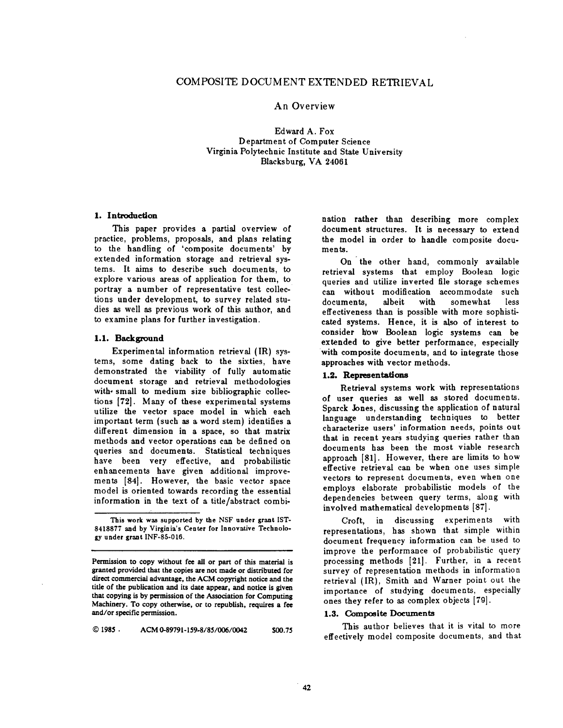# COMPOSITE DOCUMENT EXTENDED RETRIEVAL

## An Overview

Edward A. Fox Department of Computer Science Virginia Polytechnic Institute and State University Blacksburg, VA 24061

#### 1. Introduction

This paper provides a partial overview of practice, problems, proposals, and plans relating to the handling of 'composite documents' by extended information storage and retrieval systems. It aims to describe such documents, to explore various areas of application for them, to portray a number of representative test collections under development, to survey related studies as well as previous work of this author, and to examine plans for further investigation.

## 1.1. Background

Experimental information retrieval (IR) systems, some dating back to the sixties, have demonstrated the viability of fully automatic document storage and retrieval methodologies with small to medium size bibliographic collections [72]. Many of these experimental systems utilize the vector space model in which each important term (such as a word stem) identifies a different dimension in a space, so that matrix methods and vector operations can be defined on queries and documents. Statistical techniques have been very effective, and probabilistic enhancements have given additional improvements [84]. However, the basic vector space model is oriented towards recording the essential information in the text of a title/abstract combi-

**© 1985 • ACM** *0-89791-159o8/85/006/0042 \$00.75* 

nation rather than describing more complex document structures. It is necessary to extend the model in order to handle composite documents.

On the other hand, commonly available retrieval systems that employ Boolean logic queries and utilize inverted file storage schemes can without modification accommodate such documents, albeit with somewhat less effectiveness than is possible with more sophisticated systems. Hence, it is also of interest to consider h'ow Boolean logic systems can be extended to give better performance, especially with composite documents, and to integrate those approaches with vector methods.

#### 1.2. Representations

Retrieval systems work with representations of user queries as well as stored documents. Sparck Jones, discussing the application of natural language understanding techniques to better characterize users' information needs, points out that in recent years studying queries rather than documents has been the most viable research approach [81]. However, there are limits to how effective retrieval can be when one uses simple vectors to represent documents, even when one employs elaborate probabilistic models of the dependencies between query terms, along with involved mathematical developments [87].

Croft, in discussing experiments with representations, has shown that simple within document frequency information can be used to improve the performance of probabilistic query processing methods [21]. Further, in a recent survey of representation methods in information retrieval (IR), Smith and Warner point out the importance of studying documents, especially ones they refer to as complex objects [79].

#### 1.3. Composite Documents

This author believes that it is vital to more effectively model composite documents, and that

This work was supported **by the** NSF under grant IST-8418877 and by Virginia's Center for Innovative Technology under grant INF-85-016.

Permission to copy without fee all or part of this material is granted provided that the copies are not made or distributed for direct commercial advantage, the ACM copyright notice and the title of the publication and **its date** appear, and **notice is** given that copying is by permission of the Association for Computing Machinery. To copy otherwise, or to republish, requires a **fee**  and/or specific permission.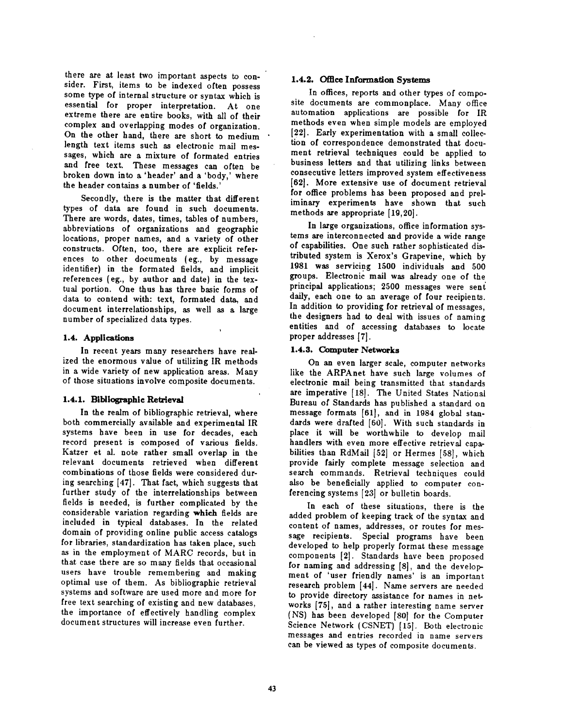there are at least two important aspects to consider. First, items to be indexed often possess some type of internal structure or syntax which is essential for proper interpretation. At one extreme there are entire books, with all of their complex and overlapping modes of organization. On the other hand, there are short to medium length text items such as electronic mail messages, which are a mixture of formated entries and free text. These messages can often be broken down into a 'header' and a 'body,' where the header contains a number of 'fields.'

Secondly, there is the matter that different types of data are found in such documents. There are words, dates, times, tables of numbers, abbreviations of organizations and geographic locations, proper names, and a variety of other constructs. Often, too, there are explicit references to other documents (eg., by message identifier) in the formated fields, and implicit references (eg., by author and date} in the textual portion. One thus has three basic forms of data to contend with: text, formated data, and document interrelationships, as well as a large number of specialized data types.

## 1.4. Applications

In recent years many researchers have realized the enormous value of utilizing IR methods in a wide variety of new application areas. Many of those situations involve composite documents.

### 1.4.1. Bibliographic Retrieval

In the realm of bibliographic retrieval, where both commercially available and experimental IR systems have been in use for decades, each record present is composed of various fields. Katzer et al. note rather small overlap in the relevant documents retrieved when different combinations of those fields were considered during searching [47]. That fact, which suggests that further study of the interrelationships between fields is needed, is further complicated by the considerable variation regarding which fields are included in typical databases. In the related domain of providing online public access catalogs for libraries, standardization has taken place, such as in the employment of MARC records, but in that case there are so many fields that occasional users have trouble remembering and making optimal use of them. As bibliographic retrieval systems and software are used more and more for free text searching of existing and new databases, the importance of effectively handling complex document structures will increase even further.

## 1.4.2. Office Information **Systems**

In offices, reports and other types of composite documents are commonplace. Many office automation applications are possible for IR methods even when simple models are employed [22]. Early experimentation with a small collection of correspondence demonstrated that document retrieval techniques could be applied to business letters and that utilizing links between consecutive letters improved system effectiveness [02]. More extensive use of document retrieval for office problems has been proposed and preliminary experiments have shown that such methods are appropriate [19,20].

In large organizations, office information systems are interconnected and provide a wide range of capabilities. One such rather sophisticated distributed system is Xerox's Grapevine, which by 1981 was servicing 1500 individuals and 500 groups. Electronic mail was already one of the principal applications; 2500 messages were sent daily, each one to an average of four recipients. In addition to providing for retrieval of messages, the designers had to deal with issues of naming entities and of accessing databases to locate proper addresses [7].

### 1.4.3. Computer **Networks**

On an even larger scale, computer networks like the ARPAnet have such large volumes of electronic mail being transmitted that standards are imperative [18]. The United States National Bureau of Standards has published a standard on message formats [61], and in 1984 global standards were drafted [60]. With such standards in place it will be worthwhile to develop mail handlers with even more effective retrieval capabilities than RdMail [52] or Hermes [58], which provide fairly complete message selection and search commands. Retrieval techniques could also be beneficially applied to computer conferencing systems [23] or bulletin boards.

In each of these situations, there is the added problem of keeping track of the syntax and content of names, addresses, or routes for message recipients. Special programs have been developed to help properly format these message components [2]. Standards have been proposed for naming and addressing [8], and the development of 'user friendly names' is an important research problem [44]. Name servers are needed to provide directory assistance for names in networks [75], and a rather interesting name server (NS) has been developed [80] for the Computer Science Network (CSNET) [15]. Both electronic messages and entries recorded in name servers can be viewed as types of composite documents.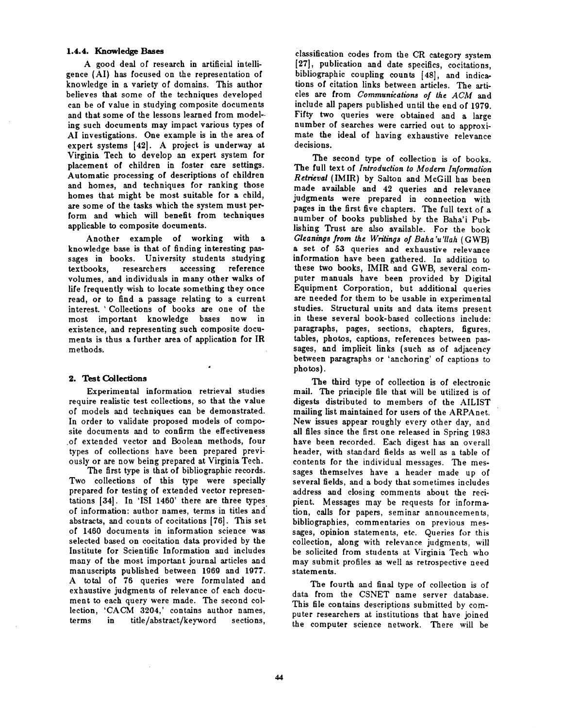### 1.4.4. Knowledge Bases

A good deal of research in artificial intelligence (AI) has focused on the representation of knowledge in a variety of domains. This author believes that some of the techniques developed can be of value in studying composite documents and that some of the lessons learned from modeling such documents may impact various types of AI investigations. One example is in the area of expert systems [42]. A project is underway at Virginia Tech to develop an expert system for placement of children in foster care settings. Automatic processing of descriptions of children and homes, and techniques for ranking those homes that might be most suitable for a child, are some of the tasks which the system must perform and which will benefit from techniques applicable to composite documents.

Another example of working with a knowledge base is that of finding interesting passages in books. University students studying textbooks, researchers accessing reference volumes, and individuals in many other walks of life frequently wish to locate something they once read, or to find a passage relating to a current interest. 'Collections of books are one of the most important knowledge bases now in existence, and representing such composite documents is thus a further area of application for IR methods.

#### 2. Test **Collections**

Experimental information retrieval studies require realistic test collections, so that the value of models and techniques can be demonstrated. In order to validate proposed models of composite documents and to confirm the effectiveness .of extended vector and Boolean methods, four types of collections have been prepared previously or are now being prepared at Virginia Tech.

The first type is that of bibliographic records. Two collections of this type were specially prepared for testing of extended vector representations [34]. In 'ISI 1460' there are three types of information: author names, terms in titles and abstracts, and counts of cocitations [76]. This set of 1460 documents in information science was selected based on cocitation data provided by the Institute for Scientific Information and includes many of the most important journal articles and manuscripts published between 1969 and 1977. A total of 76 queries were formulated and exhaustive judgments of relevance of each document to each query were made. The second collection, 'CACM 3204,' contains author names, terms in title/abstract/keyword sections,

Classification codes from the CR category system [27], publication and date specifics, cocitations, bibliographic coupling counts [48], and indications of citation links between articles. The articles are from *Communications of the ACM* and include all papers published until the end of 1979. Fifty two queries were obtained and a large number of searches were carried out to approximate the ideal of having exhaustive relevance decisions.

The second type of collection is of books. The full text of *Introduction to Modern Information Retrieval* (IMIR) by Salton and McGill has been made available and 42 queries and relevance judgments were prepared in connection with pages in the first five chapters. The full text of a number of books published by the Baha'i Publishing Trust are also available. For the book *Gleanings from the Writings of Baha 'u 'llah (GWB)*  a set of 53 queries and exhaustive relevance information have been gathered. In addition to these two books, IMIR and GWB, several computer manuals have been provided by Digital Equipment Corporation, but additional queries are needed for them to be usable in experimental studies. Structural units and data items present in these several book-based collections include: paragraphs, pages, sections, chapters, figures, tables, photos, captions, references between passages, and implicit links (such as of adjacency between paragraphs or 'anchoring' of captions to photos).

The third type of collection is of electronic mail. The principle file that will be utilized is of digests distributed to members of the AILIST mailing list maintained for users of the ARPAnet. New issues appear roughly every other day, and all files since the first one released in Spring 1983 have been recorded. Each digest has an overall header, with standard fields as well as a table of contents for the individual messages. The messages themselves have a header made up of several fields, and a body that sometimes includes address and closing comments about the recipient. Messages may be requests for information, calls for papers, seminar announcements, bibliographies, commentaries on previous messages, opinion statements, etc. Queries for this collection, along with relevance judgments, will be solicited from students at Virginia Tech who may submit profiles as well as retrospective need statements.

The fourth and final type of collection is of data from the CSNET name server database. This file contains descriptions submitted by computer researchers at institutions that have joined the computer science network. There will be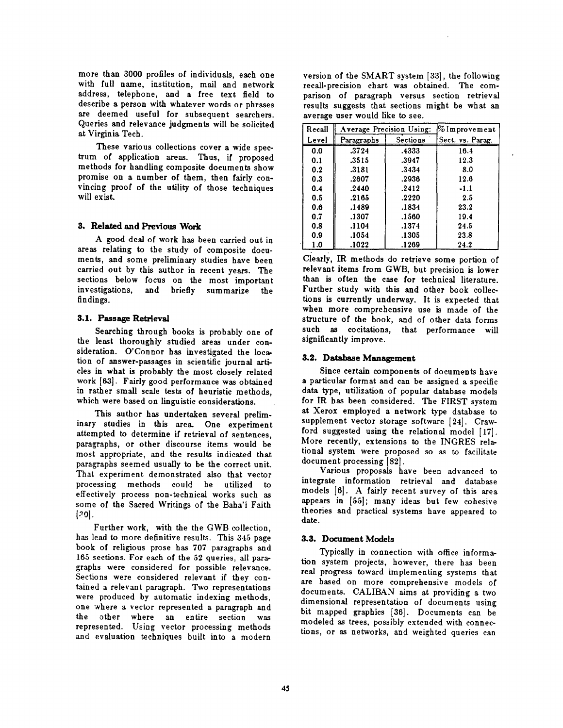more than 3000 profiles of individuals, each one with full name, institution, mail and network address, telephone, and a free text field to describe a person with whatever words or phrases are deemed useful for subsequent searchers. Queries and relevance judgments will be solicited at Virginia Tech.

These various collections cover a wide spectrum of application areas. Thus, if proposed methods for handling composite documents show promise on a number of them, then fairly convincing proof of the utility of those techniques will exist.

## 3. **Related and** Previous Work

A good deal of work has been carried out in areas relating to the study of composite documents, and some preliminary studies have been carried out by this author in recent years. The sections below focus on the most important investigations, and briefly summarize the findings.

## 3.1. Passage Retrieval

Searching through books is probably one of the least thoroughly studied areas under consideration. O'Connor has investigated the location of answer-passages in scientific journal articles in what is probably the most closely related work [63]. Fairly good performance was obtained in rather small scale tests of heuristic methods, which were based on linguistic considerations.

This author has undertaken several preliminary studies in this area. One experiment attempted to determine if retrieval of sentences, paragraphs, or other discourse items would be most appropriate, and the results indicated that paragraphs seemed usually to be the correct unit. That experiment demonstrated also that vector processing methods could be utilized to effectively process non-technical works such as some of the Sacred Writings of the Baha'i Faith  $[.20]$ .

Further work, with the the GWB collection, has lead to more definitive results. This 345 page book of religious prose has 707 paragraphs and 165 sections. For each of the 52 queries, all paragraphs were considered for possible relevance. Sections were considered relevant if they contained a relevant paragraph. Two representations were produced by automatic indexing methods, one where a vector represented a paragraph and the other where an entire section was represented. Using vector processing methods and evaluation techniques built into a modern

version of the SMART system [33], the following recail-precision chart was obtained. The comparison of paragraph versus section retrieval results suggests that sections might be what an average user would like to see.

| Recall | <b>Average Precision Using:</b> |          | % Improvement    |
|--------|---------------------------------|----------|------------------|
| Level  | Paragraphs                      | Sections | Sect. vs. Parag. |
| 0.0    | .3724                           | .4333    | 16.4             |
| 0.1    | .3515                           | .3947    | 12.3             |
| 0.2    | .3181                           | .3434    | 8.0              |
| 0.3    | .2607                           | .2936    | 12.6             |
| 0.4    | .2440                           | .2412    | $-1.1$           |
| 0.5    | .2165                           | .2220    | 2.5              |
| 0.6    | .1489                           | .1834    | 23.2             |
| 0.7    | .1307                           | .1560    | 19.4             |
| 0.8    | .1104                           | .1374    | 24.5             |
| 0.9    | .1054                           | .1305    | 23.8             |
| 1.0    | .1022                           | .1269    | 24.2             |

Ciearly, IR methods do retrieve some portion of relevant items from GWB, but precision is lower than is often the case for technical literature. Further study with this and other book collections is currently underway. It is expected that when more comprehensive use is made of the structure of the book, and of other data forms such as cocitations, that performance will significantly improve.

## **3.2. Database Management**

Since certain components of documents have a particular format and can be assigned a specific data type, utilization of popular database models for IR has been considered. The FIRST system at Xerox employed a network type database to supplement vector storage software [24]. Crawford suggested using the relational model [17]. More recently, extensions to the INGRES relational system were proposed so as to facilitate document processing [82].

Various proposals have been advanced to integrate information retrieval and database models [6]. A fairly recent survey of this area appears in [55]; many ideas but few cohesive theories and practical systems have appeared to date.

## **3.3. Document Models**

Typically in connection with office information system projects, however, there has been real progress toward implementing systems that axe based on more comprehensive models of documents. CALIBAN aims at providing a two dimensional representation of documents using bit mapped graphics [36]. Documents can be modeled as trees, possibly extended with connections, or as networks, and weighted queries can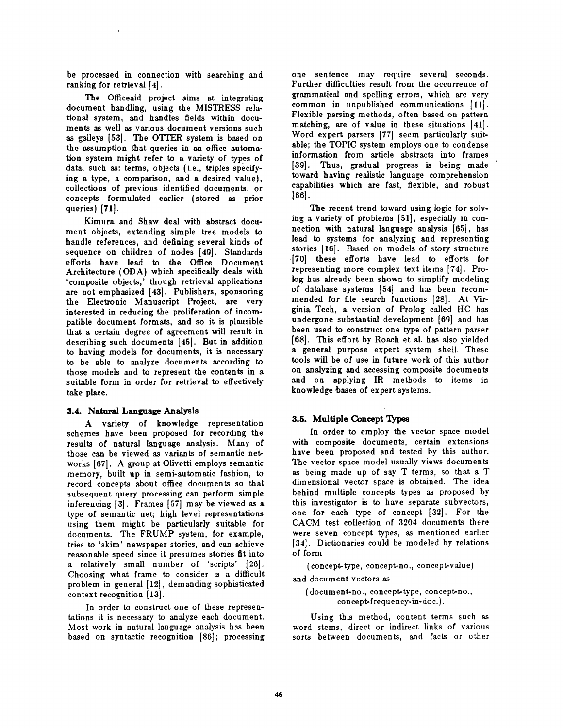be processed in connection with searching and ranking for retrieval [4].

The Officeaid project aims at integrating document handling, using the MISTRESS relational system, and handles fields within documents as well as various document versions such as galleys [53]. The OTTER system is based on the assumption that queries in an office automation system might refer to a variety of types of data, such as: terms, objects (i.e., triples specifying a type, a comparison, and a desired value), collections of previous identified documents, or concepts formulated earlier (stored as prior queries) [71].

Kimura and Shaw deal with abstract document objects, extending simple tree models to handle references, and defining several kinds of sequence on children of nodes [49]. Standards efforts have lead to the Office Document Architecture (ODA) which specifically deals with 'composite objects,' though retrieval applications are not emphasized [43]. Publishers, sponsoring the Electronic Manuscript Project, are very interested in reducing the proliferation of incompatible document formats, and so it is plausible that a certain degree of agreement will result in describing such documents [45l. But in addition to having models for documents, it is necessary to be able to analyze documents according to those models and to represent the contents in a suitable form in order for retrieval to effectively take place.

## 3.4. Natural Language Analysis

A variety of knowledge representation schemes have been proposed for recording the results of natural language analysis. Many of those can be viewed as variants of semantic networks [67]. A group at Olivetti employs semantic memory, built up in semi-automatic fashion, to record concepts about office documents so that subsequent query processing can perform simple inferencing [3]. Frames [57] may be viewed as g type of semantic net; high level representations using them might be particularly suitable for documents. The FRUMP system, for example, tries to 'skim' newspaper stories, and can achieve reasonable speed since it presumes stories fit into a relatively small number of 'scripts' [26]. Choosing what frame to consider is a difficult problem in general [12], demanding sophisticated context recognition  $[13]$ .

In order to construct one of these representations it is necessary to analyze each document. Most work in natural language analysis has been based on syntactic recognition [88]; processing one sentence may require several seconds. Further difficulties result from the occurrence of grammatical and spelling errors, which are very common in unpublished communications [11]. Flexible parsing methods, often based on pattern matching, are of value in these situations [41]. Word expert parsers [77] seem particularly suitable; the TOPIC system employs one to condense information from article abstracts into frames [39]. Thus, gradual progress is being made toward having realistic language comprehension capabilities which are fast, flexible, and robust **188].** 

The recent trend toward using logic for solving a variety of problems [51], especially in conncction with natural language analysis [85], has lead to systems for analyzing and representing stories [18]. Based on models of story structure [70] these efforts have lead to efforts for representing more complex text items [74]. Prolog has already been shown to simplify modeling of database systems [54] and has been recommended for file search functions [28]. At Virginia Tech, a version of Prolog called HC has undergone substantial development [89] and has been used to construct one type of pattern parser [88]. This effort by Roach et al. has also yielded a general purpose expert system shell. These tools will be of use in future work of this author on analyzing and accessing composite documents and on applying IR methods to items in knowledge bases of expert systems.

## 3.5. **Multiple Concept** Types

In order to employ the vector space model with composite documents, certain extensions have been proposed and tested by this author. The vector space model usually views documents as being made up of say T terms, so that a T dimensional vector space is obtained. The idea behind multiple concepts types as proposed by this investigator is to have separate subvectors, one for each type of concept [32]. For the CACM test collection of 3204 documents there were seven concept types, as mentioned earlier [34]. Dictionaries could be modeled by relations of form

(concept-type, concept-no., concept-value)

and document vectors as

(document-no., concept-type, concept-no., concept-frequeney-in-doc.).

Using this method, content terms such as word stems, direct or indirect links of various sorts between documents, and facts or other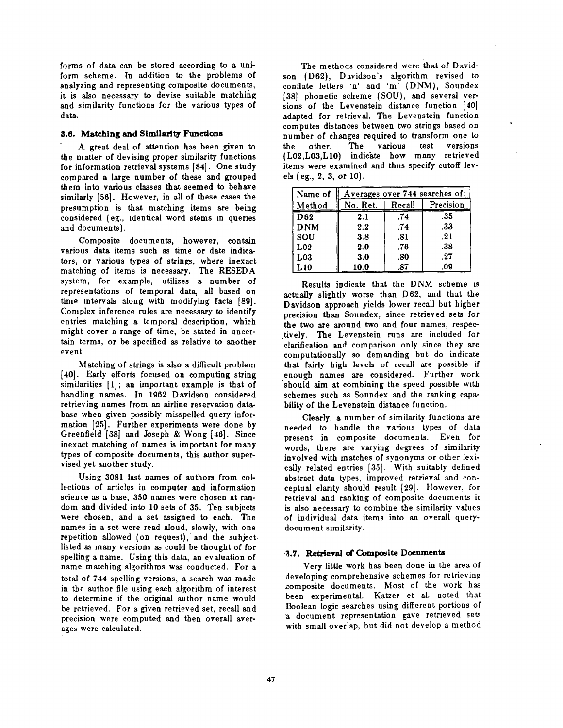forms of data can be stored according to a uniform scheme. In addition to the problems of analyzing and representing composite documents, it is also necessary to devise suitable matching and similarity functions for the various types of data..

### **3.6. Matching** and Similarity **Functions**

A great deal of attention has been given to the matter of devising proper similarity functions for information retrieval systems [84]. One study compared a large number of these and grouped them into various classes that seemed to behave similarly [56]. However, in all of these cases the presumption is that matching items are being considered (eg., identical word stems in queries and documents).

Composite documents, however, contain various data items such as time or date indicators, or various types of strings, where inexact matching of items is necessary. The RESEDA system, for example, utilizes a number of representations of temporal data, all based on time intervals along with modifying facts [89]. Complex inference rules are necessary to identify entries matching a temporal description, which might cover a range of time, be stated in uncertain terms, or be specified as relative to another event.

Matching of strings is also a difficult problem [40]. Early efforts focused on computing string similarities [1]; an important example is that of handling names. In 1962 Davidson considered retrieving names from an airline reservation database when given possibly misspelled query information [25]. Further experiments were done by Greenfield  $[38]$  and Joseph & Wong  $[46]$ . Since inexact matching of names is important for many types of composite documents, this author supervised yet another study.

Using 3081 last names of authors from collections of articles in computer and information science as a base, 350 names were chosen at random and divided into 10 sets of 35. Ten subjects were chosen, and a set assigned to each. The names in a set were read aloud, slowly, with one repetition allowed (on request), and the subject. listed as many versions as could be thought of for spelling a name. Using this data, an evaluation of name matching algorithms was conducted. For a total of 744 spelling versions, a search was made in the author file using each algorithm of interest to determine if the original author name would be retrieved. For a given retrieved set, recall and precision were computed and then overall averages were calculated.

The methods considered were that of Davidson (D62), Davidson's algorithm revised to confiate letters 'n' and 'm' (DNM), Soundex [38] phonetic scheme (SOU), and several versions of the Levenstein distance function [40] adapted for retrieval. The Levenstein function computes distances between two strings based on number of changes required to transform one to the other. The various test versions (L02,L03,LI0) indicate how many retrieved items were examined and thus specify cutoff levels (eg., 2, 3, or 10).

| Name of         | Averages over 744 searches of: |        |           |  |
|-----------------|--------------------------------|--------|-----------|--|
| Method          | No. Ret.                       | Recall | Precision |  |
| D <sub>62</sub> | 2.1                            | .74    | .35       |  |
| <b>DNM</b>      | 2.2                            | .74    | .33       |  |
| SOU             | 3.8                            | .81    | .21       |  |
| L02             | 2.0                            | .76    | .38       |  |
| L03             | 3.0                            | .80    | .27       |  |
| L 10            | 10.0                           | .87    | .09       |  |

Results indicate that the DNM scheme is actually slightly worse than D62, and that the Davidson approach yields lower recall but higher precision than Soundex, since retrieved sets for the two are around two and four names, respectively. The Levenstein runs are included for clarification and comparison only since they are computationally so demanding but do indicate that fairly high levels of recall are possible if enough names are considered. Further work should aim at combining the speed possible with schemes such as Soundex and the ranking capability of the Levenstein distance function.

Clearly, a number of similarity functions are needed to handle the various types of data present in composite documents. Even for words, there are varying degrees of similarity involved with matches of synonyms or other lexically related entries [35]. With suitably defined abstract data types, improved retrieval and conceptual clarity should result [29]. However, for retrieval and ranking of composite documents it is also necessary to combine the similarity values of individual data items into an overall querydocument similarity.

#### :3.7. Retrieval of Composite Documents

Very little work has been done in the area of developing comprehensive schemes for retrieving zomposite documents. Most of the work has been experimental. Katzer et al. noted that Boolean logic searches using different portions of a document representation gave retrieved sets with small overlap, but did not develop a method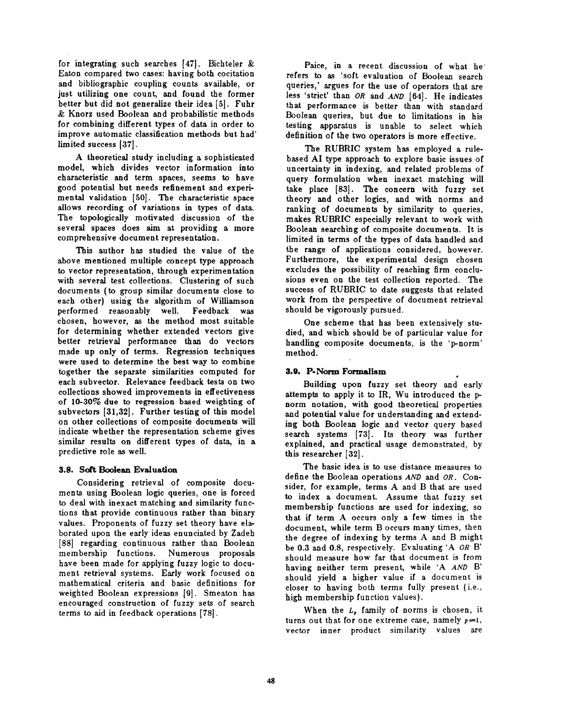for integrating such searches [47]. Bichteler & Eaton compared two cases: having both cocitation and bibliographic coupling counts available, or just utilizing one count, and found the former better but did not generalize their idea [5]. Fuhr & Knorz used Boolean and probabilistic methods for combining different types of data in order to improve automatic classification methods but had" limited success [37].

A theoretical study including a sophisticated model, which divides vector information into characteristic and term spaces, seems to have good potential but needs refinement and experimental validation [50]. The characteristic space allows recording of variations in types of data. The topologically motivated discussion of the several spaces does aim at providing a more comprehensive document representation.

This author has studied the value of the above mentioned multiple concept type approach to vector representation, through experimentation with several test collections. Clustering of such documents (to group similar documents close to each other} using the algorithm of Williamson performed reasonably well. Feedback was chosen, however, as the method most suitable for determining whether extended vectors give better retrieval performance than do vectors made up only of terms. Regression techniques were used to determine the best way to combine together the separate similarities computed for each subvector. Relevance feedback tests on two collections showed improvements in effectiveness of 10-30% due to regression based weighting of subvectors [31,32]. Further testing of this model on other collections of composite documents will indicate whether the representation scheme gives similar results on different types of data, in a predictive role as well.

## 3.8. Soft Boolean Evaluation

Considering retrieval of composite documents using Boolean logic queries, one is forced to deal with inexact matching and similarity functions that provide continuous rather than binary values. Proponents of fuzzy set theory have elaborated upon the early ideas enunciated by Zadeh [88] regarding continuous rather than Boolean membership functions. Numerous proposals have been made for applying fuzzy logic to document retrieval systems. Early work focused on mathematical criteria and basic definitions for weighted Boolean expressions [9]. Smeaton has encouraged construction of fuzzy sets of search terms to aid in feedback operations [78].

Paice, in a recent discussion of what he' refers to as 'soft evaluation of Boolean search queries,' argues for the use of operators that are less 'strict' than *OR* and *AND* [64]. He indicates that performance is better than with standard Boolean queries, but due to limitations in his testing apparatus is unable to select which definition of the two operators is more effective.

The RUBRIC system has employed a rulebased AI type approach to explore basic issues of uncertainty in indexing, and related problems of query formulation when inexact matching will take place [83]. The concern with fuzzy set theory and other logics, and with norms and ranking of documents by similarity to queries, makes RUBRIC especially relevant to work with Boolean searching of composite documents. It is limited in terms of the types of data handled and the range of applications considered, however. Furthermore, the experimental design chosen excludes the possibility of reaching firm conclusions even on the test collection reported. The success of RUBRIC to date suggests that related work from the perspective of document retrieval should be vigorously pursued.

One scheme that has been extensively studied, and which should be of particular value for handling composite documents, is the 'p-norm' method.

### 3.9. P-Norm Formalism

Building upon fuzzy set theory and early attempts to apply it to IR, Wu introduced the pnorm notation, with good theoretical properties and potential value for understanding and extending both Boolean logic and vector query based search systems [73]. Its theory was further explained, and practical usage demonstrated, by this researcher [32].

The basic idea is to use distance measures to define the Boolean operations *AND* and *OR.* Consider, for example, terms A and B that are used to index a document. Assume that fuzzy set membership functions are used for indexing, so that if term A occurs only a few times in the document, while term B occurs many times, then the degree of indexing by terms A and B might be 0.3 and 0.8, respectively. Evaluating 'A *OR B'*  should measure how far that document is from having neither term present, while 'A *AND B'*  should yield a higher value if a document is closer to having both terms fully present (i.e., high membership function values).

When the  $L_p$  family of norms is chosen, it turns out that for one extreme case, namely  $p=1$ , vector inner product similarity values are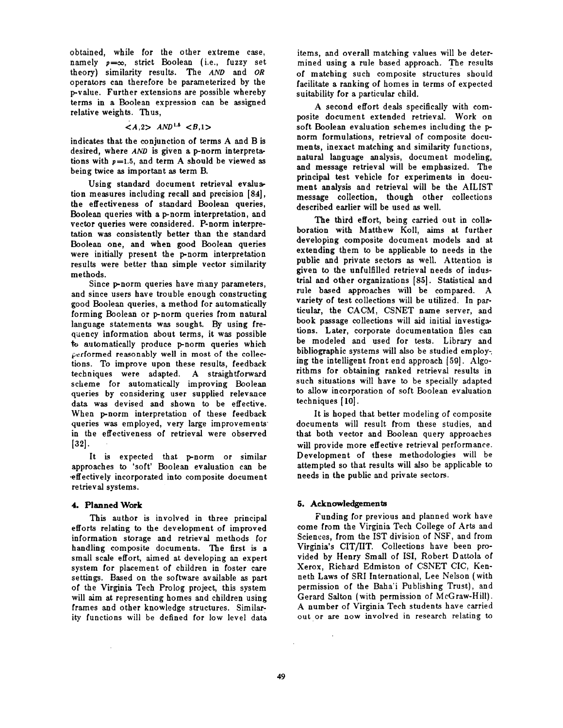obtained, while for the other extreme case, namely  $p=\infty$ , strict Boolean (i.e., fuzzy set theory) similarity results. *The AND* and *OR*  operators can therefore be parameterized by the p-value. Further extensions are possible whereby terms in a Boolean expression can be assigned relative weights. Thus,

#### $\langle A.2 \rangle$   $AND^{1.5}$   $\langle B.1 \rangle$

indicates that the conjunction of terms A and B is desired, where *AND* is given a p-norm interpretations with  $p=1.5$ , and term A should be viewed as being twice as important as term B.

Using standard document retrieval evaluation measures including recall and precision [84], the effectiveness of standard Boolean queries, Boolean queries with a p-norm interpretation, and vector queries were considered. P-norm interpretation was consistently better than the standard Boolean one, and when good Boolean queries were initially present the p-norm interpretation results were better than simple vector similarity methods.

Since p-norm queries have many parameters, and since users have trouble enough constructing good Boolean queries, a method for automatically forming Boolean or p-norm queries from natural language statements was sought. By using frequency information about terms, it was possible to automatically produce p-norm queries which performed reasonably well in most of the collections. To improve upon these results, feedback techniques were adapted. A straightforward scheme for automatically improving Boolean queries by considering user supplied relevance data was devised and shown to be effective. When p-norm interpretation of these feedback queries was employed, very large improvements in the effectiveness of retrieval were observed [321.

It is expected that p-norm or similar approaches to 'soft' Boolean evaluation can be • effectively incorporated into composite document retrieval systems.

## 4. Planned Work

This author is involved in three principal efforts relating to the development of improved information storage and retrieval methods for handling composite documents. The first is a small scale effort, aimed at developing an expert system for placement of children in foster care settings. Based on the software available as part of the Virginia Tech Prolog project, this system will aim at representing homes and children using frames and other knowledge structures. Similarity functions will be defined for low level data items, and overall matching values will be determined using a rule based approach. The results of matching such composite structures should facilitate a ranking of homes in terms of expected suitability for a particular child.

A second effort deals specifically with composite document extended retrieval. Work on soft Boolean evaluation schemes including the pnorm formulations, retrieval of composite documents, inexact matching and similarity functions, natural language analysis, document modeling, and message retrieval will be emphasized. The principal test vehicle for experiments in document analysis and retrieval will be the AILIST message collection, though other collections described earlier will be used as well.

**The** third effort, being carried out in collaboration with Matthew Koll, aims at further developing composite document models and at extending them to be applicable to needs in the public and private sectors as well. Attention is given to the unfulfilled retrieval needs of industrial and other organizations [85]. Statistical and rule based approaches will be compared. A variety of test collections will be utilized. In particular, the CACM, CSNET name server, and book passage collections will aid initial investigations. Later, corporate documentation files can be modeled and used for tests. Library and bibliographic systems will also be studied employing the intelligent front end approach [59]. Algorithms for obtaining ranked retrieval results in such situations will have to be specially adapted to allow incorporation of soft Boolean evaluation techniques [ 10].

It is hoped that better modeling of composite documents will result from these studies, and that both vector and Boolean query approaches will provide more effective retrieval performance. Development of these methodologies will be attempted so that results will also be applicable to needs in the public and private sectors.

### **5. Acknowledgements**

Funding for previous and planned work have come from the Virginia Tech College of Arts and Sciences, from the IST division of NSF, and from Virginia's CIT/IIT. Collections have been provided by Henry Small of ISI, Robert Dattola of Xerox, Richard Edmiston of CSNET CIC, Kenneth Laws of SRI International, Lee Nelson (with permission of the Baha'i Publishing Trust), and Gerard Salton (with permission of McGraw-Hill). A number of Virginia Tech students have carried out or are now involved in research relating to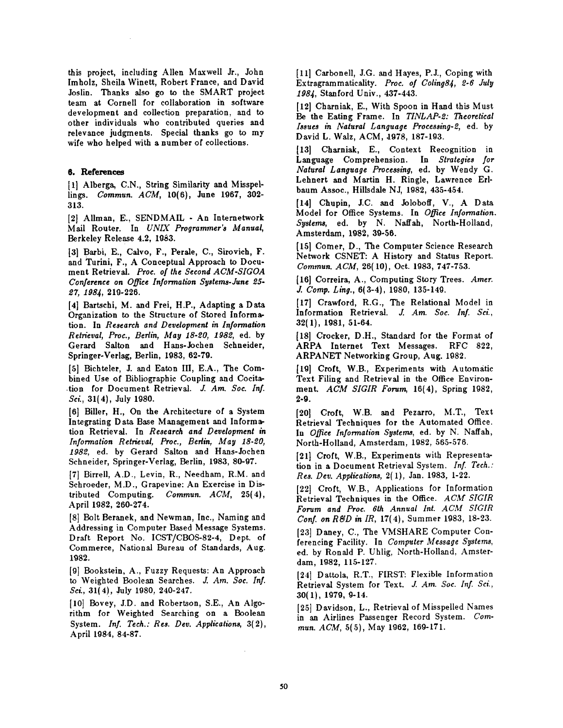this project, including Allen Maxwell Jr., John Imholz, Sheila Winett, Robert France, and David Joslin. Thanks also go to the SMART project team at Cornell for collaboration in software development and collection preparation, and to other individuals who contributed queries and relevance judgments. Special thanks go to my wife who helped with a number of collections.

## **6.** References

[1] Alberga, C.N., String Similarity and Misspellings. *Commun. ACM,* 10(6), June 1967, 302- 313.

[2] Allman, E., SENDMAIL - An Internetwork Mail Router. In *UNIX Programmer'8 Manual,*  Berkeley Release 4.2, 1983.

[3] Barbi, E., Calvo, F., Perale, C., Sirovich, F. and Turini, F., A Conceptual Approach to Document Retrieval. *Proc. of the Second ACM-SIGOA Conference on Office Information Systems-June 25eT, I984,* 219-226.

[4] Bartschi, M. and Frei, H.P., Adapting a Data Organization to the Structure of Stored Information. In *Research and Development in Information Retrieval, Proc., Berlin, May 18-g0, 1989,* ed. by Gerard Salton and Hans-Jochen Schneider, Springer-Verlag, Berlin, 1983, 62-79.

[5] Bichteler, J. and Eaton III, E.A., The Combined Use of Bibliographic Coupling and Cocita- .tion for Document Retrieval. *J. Am. Soc. Inf. Sci.,* 31(4), July 1980.

[6] Biller, H., On the Architecture of a System Integrating Data. Base Management and Information Retrieval. In *Research and Development in Information Retrieval, Proc., Bedin, May I8-£0,*  1982, ed. by Gerard Salton and Hans-Jochen Schneider, Springer-Verlag, Berlin, 1983, 80-97.

[7] Birrell, A.D., Levin, R., Needham, R.M. and Schroeder, M.D., Grapevine: An Exercise in Distributed Computing. *Commun. ACM,* 25(4), April 1982, 260-274.

[8] Bolt Beranek, and Newman, Inc., Naming and Addressing in Computer Based Message Systems. Draft Report No. ICST/CBOS-82-4, Dept. of Commerce, National Bureau of Standards, Aug. 1982.

[9] Bookstein, A., Fuzzy Requests: An Approach to Weighted Boolean Searches. *J. Am. Soc. Inf. Sci.,* 31(4), July 1980, 240-247.

[10] Bovey, J.D. and Robertson, S.E., An Algorithm for Weighted Searching on a Boolean System. *Inf. Tech.: Res. Dev. Applications,* 3(2), April 1984, 84-87.

[11] Carbonell, J.G. and Hayes, P.J., Coping with Extragrammaticality. *Proc. of Coling84, 2-6 July 1984,* Stanford Univ., 437-443.

[12] Charniak, E., With Spoon in Hand this Must Be the Eating Frame. In *TINLAP-g: Theoretical Issues in Natural Language Processing-g,* ed. by David L. Walz, ACM, 1978, 187-193.

[13] Charniak, E., Context Recognition in Language Comprehension. In *Strategies for Natural Language Processing,* ed. by Wendy G. Lehnert and Martin H. Ringle, Lawrence Erlbaum Assoc., Hillsdale NJ, 1982, 435-454.

[14] Chupin, J.C. and Joloboff, V., A Data Model for Office Systems. In *Office Information. Systems,* ed. by N. Naffah, North-Holland, Amsterdam, 1982, 39-56.

[151 Comer, D., The Computer Science Research Network CSNET: A History and Status Report. *Commun. ACM,* 26(10), Oct. 1983, 747-753.

[16] Correira, A., Computing Story Trees. *Amer. J. Comp. Ling.,* 6(3-4), 1980, 135-149.

[17] Crawford, R.G., The Relational Model in Information Retrieval. *J. Am. Soc. Inf. Sci.,*  32(1), 1981, 51-64.

[18] Crocker, D.H., Standard for the Format of ARPA Internet Text Messages. RFC 822, ARPANET Networking Group, Aug. 1982.

[19] Croft, W.B., Experiments with Automatic Text Filing and Retrieval in the Office Environment. *ACM SIGIR Forung* 16(4), Spring 1982, **2-9.** 

[20] Croft, W.B. and Pezarro, M.T., Text Retrieval Techniques for the Automated Office. In *Office Information Systems,* ed. by N. Naffah, North-Holland, Amsterdam, 1982, 565-576.

[21] Croft, W.B., Experiments with Representation in a Document Retrieval System. *Inf. Tech.: Res. Dev. Applications,* 211), Jan. 1983, 1-22.

[22] Croft, W.B., Applications for Information Retrieval Techniques in the Office. ACM SIGIR *Forum and Proc. 6th Annual Int. ACM S[GIR Conf. on R~D in JR,* 17(4), Summer 1983, 18-23.

[23] Daney, C., The VMSHARE Computer Conferencing Facility. In *Computer Message Systems,*  ed. by Ronald P. Uhlig, North-Holland, Amsterdam, 1982, 115-127.

[24] Dattola, R.T., FIRST: Flexible Information Retrieval System for Text. *J. Am. Soc. Inf. Sci.,*  **30(1}, 1979, 9-14.** 

[25] Davidson, L., Retrieval of Misspelled Names in an Airlines Passenger Record System. *Commun. ACM,* 5(5), May 1962, 169-171.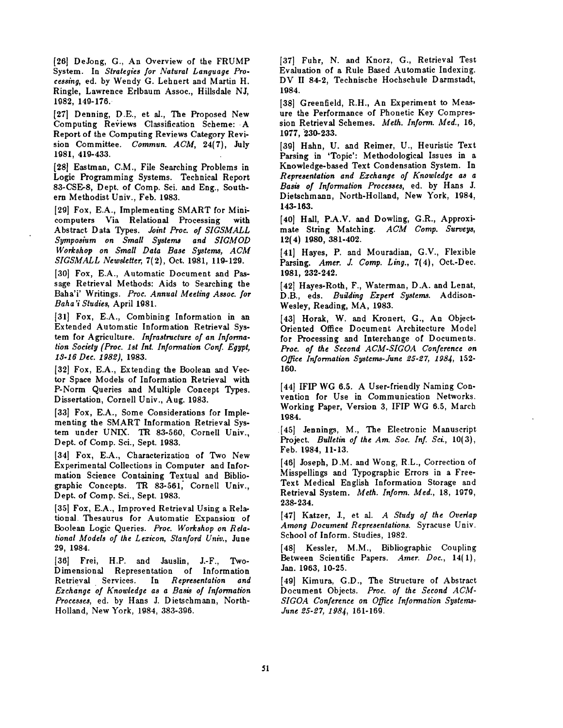[26] DeJong, G., An Overview of the FRUMP System. In *Strategies for Natural Language Processing,* ed. by Wendy G. Lehnert and Martin H. Ringle, Lawrence Erlbaum Assoc., Hillsdale NJ, 1982, 149-176.

[27] Denning, D.E., et al., The Proposed New Computing Reviews Classification Scheme: A Report of the Computing Reviews Category Revision Committee. *Commun. ACM,* 24(7), July 1981, 419-433.

[28] Eastman, C.M., File Searching Problems in Logic Programming Systems. Technical Report 83-CSE-8, Dept. of Comp. Sci. and Eng., Southern Methodist Univ., Feb. 1983.

[29] Fox, E.A., Implementing SMART for Minicomputers Via Relational Processing with Abstract Data Types. *Joint Proc. of SIGSMALL Symposium on Small Systems and SIGMOD Workshop on Small Data Base Systems, ACM SIGSMALL Newsletter,* 7(2), Oct. 1981, 119-129.

[30] Fox, E.A., Automatic Document and Passage Retrieval Methods: Aids to Searching the Baha'i' Writings. *Proc. Annual Meeting Assoc. for Baha'i Studies,* April 1981.

[31] Fox, E.A., Combining Information in an Extended Automatic Information Retrieval System for Agriculture. *Infrastructure of an Information Society (Proc. Ist Int. Information Conf. Egypt, I3-I6 Dec. 198£),* 1983.

[32] Fox, E.A., Extending the Boolean and Vector Space Models of Information Retrieval with P-Norm Queries and Multiple Concept Types. Dissertation, Cornell Univ., Aug. 1983.

[33] Fox, E.A., Some Considerations for Implementing the SMART Information Retrieval System under UNIX. TR 83-560, Cornell Univ., Dept. of Comp. Sci., Sept. 1983.

[34] Fox, E.A., Characterization of Two New Experimental Collections in Computer and Information Science Containing Textual and Bibliographic Concepts. TR 83-561, Cornell Univ., Dept. of Comp. Sci., Sept. 1983.

[35] Fox, E.A., Improved Retrieval Using a Relational Thesaurus for Automatic Expansion' of Boolean Logic Queries. *Proc. Workshop on Relational Models of the Lexicon, Stanford Univ.,* June 29, 1984.

[36] Frei, H.P. and Janslin, J.-F., Two-Dimensional Representation of Information Retrieval Services. In *Representation and Exchange of Knowledge as a Basis of Information Processes,* ed. by Hans J. Dietschmann, North-Holland, New York, 1984, 383-396.

[37] Fuhr, N. and Knorz, G., Retrieval Test Evaluation of a Rule Based Automatic Indexing. DV II 84-2, Technische Hochschule Darmstadt, 1984.

[38] Greenfield, R.H., An Experiment to Measure the Performance of Phonetic Key Compression Retrieval Schemes. *Meth. Inform. Med.,* 16, 1977, "230-233.

[39] Hahn, U. and Reimer, U., Heuristic Text Parsing in 'Topic': Methodological Issues in a Knowledge-based Text Condensation System. In *Representation and Exchange of Knowledge as a Basis of Information Processes,* ed. by Hans J. Dietschmann, North-Holland, New York, 1084, 143-163.

[40] Hall, P.A.V. and Dowling, G.R., Approximate String Matching. *ACM Comp. Surveys,*  12(4) 1080, 381-402.

[41] Hayes, P. and Mouradian, G.V., Flexible Parsing. *Amer. J. Comp. Ling.,* 7(4), Oct.-Dec. 1981, 232-242.

**[42]** Hayes-Roth, F., Waterman, D.A. and Lenat, D.B., eds. *Building Expert Systems.* Addison-Wesley, Reading, MA, 1983.

[43] Horak, W. and Kronert, G., An Object-Oriented Office Document Architecture Model for Processing and Interchange of Documents. *Proc. of the Second ACM-SIGOA Conference on Office Information Systems-June 25-27, 1984,* 152- 160.

[44] IFIP WG 6.5. A User-friendly Naming Convention for Use in Communication Networks. Working Paper, Version 3, IFIP WG 6.5, March 1984.

[45] Jennings, M., The Electronic Manuscript Project. *Bulletin of the Am. Soc. Inf. Sci.,* 10(3), Feb. 1984, 11-13.

[46] Joseph, D.M. and Wong, R.L., Correction of Misspellings and Typographic Errors in a Free-Text Medical English Information Storage and Retrieval System. *Meth. Inform. Med.,* 18, 1979, 238-234.

[47] Katzer, J., et *al. A Study of the Overlap Among Document Representations.* Syracuse Univ. School of Inform. Studies, 1982.

[48] Kessler, M.M., Bibliographic Coupling Between Scientific Papers. *Amer. Doc.,* 14(1), Jan. 1963, 10-25.

[49] Kimura, G.D., The Structure of Abstract Document Objects. *Proc. of the Second ACM-SIGOA Conference on Office Information Systems-June 25-£7, 1984,* 161-169.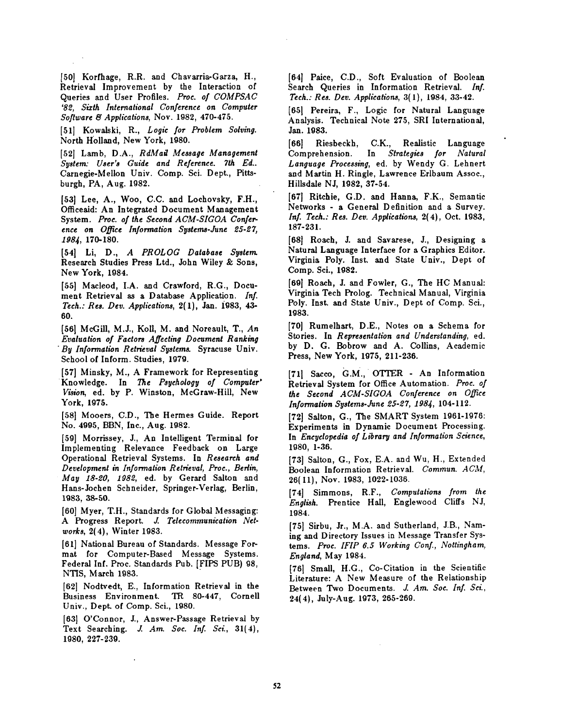[50] Korfhage, R.R. and Chavarria-Garza, H., Retrieval Improvement by the Interaction of Queries and User Profiles. *Proc. of COMPSAC '82, Sizth International Conference on Computer Software 8Y Applications,* Nov. 1982, 470-475.

[51] Kowalski, R., *Logic for Problem Solving.*  North Holland, New York, 1980.

[52] Lamb, D.A., *RdMail Message Management System: User's Guide and Reference. 7th Ed..*  Carnegie-Mellon Univ. Comp. Sci. Dept., Pittsburgh, PA, Aug. 1982.

[53] Lee, A., Woo, C.C. and Loehovsky, F.H., Offieeaid: An Integrated Document Management System. *Proc. of the Second ACM-SIGOA Conference on Office Information Systems-June ~5-27, 1984,* 170-180.

[541 Li, *D., A PROLOG Database System.*  Research Studies Press Ltd., John Wiley & Sons, New York, 1984.

[55] Macleod, I.A. and Crawford, R.G., Document Retrieval as a Database Application. *Inf. Tech.: Res. Dev. Applications, 2(1), Jan. 1983, 43-*60.

[561 McGiI1, M.J., Koll, M. and Noreanlt, T., *An Evaluation of Factors Affecting Document Ranking "By Information Retrieval Systems.* Syracuse Univ. School of Inform. Studies, 1979.

[57] Minsky, M., A Framework for Representing Knowledge. In The *Psychology of Computer' Vision,* ed. by P. Winston, McGraw-Hill, New York, 1975.

[58] Mooers, C.D., The Hermes Guide. Report No. 4995, BBN, Inc., Aug. 1982.

[59] Morrissey, J., An Intelligent Terminal for Implementing Relevance Feedback on Large Operational Retrieval Systems. In *Research and Development in Information Retrieval, Proc., Berlin, May 18-e0, lgSe,* ed. by Gerard Salton and Hans-Jochen Schneider, Springer-Verlag, Berlin, 1983, 38-50.

[60] Myer, T.H., Standards for Global Messaging: A Progress Report. J. *Telecommunication Networks,* 2(4), Winter 1983.

[61] National Bureau of Standards. Message Format for Computer-Based Message Systems. Federal Inf. Proc. Standards Pub. [FIPS PUB) 98, NTIS, March 1983.

[62] Nodtvedt, E., Information Retrieval in the Business Environment. TR 80-447, Cornell Univ., Dept. of Comp. Sci., 1980.

[63] O'Connor, J., Answer-Passage Retrieval by Text Searching. *J. Am. Soc. Inf. Sei.,* 31(4), 1980, 227-239.

[64] Paice, C.D., Soft Evaluation of Boolean Search Queries in Information Retrieval. *Inf. Tech.: Res. Dev. Applications,* 3(1), 1984, 33-42.

[651 Pereira, F., Logic for Natural Language Analysis. Technical Note 275, SRI International, Jan. 1983.

[66] Riesbeckh, C.K., Realistic Language Comprehension. In *Strategies for Natural Language Processing,* ed. by Wendy G. Lehnert and Martin H. Ringle, Lawrence Erlbaum Assoc., Hillsdale NJ, 1982, 37-54.

[67] Ritchie, G.D. and Hanna, F.K., Semantic Networks - a General Definition and a Survey. *Inf. Tech.: Res. Dev. Applications,* 2(4), Oct. 1983, 187-231.

[68] Roach, J. and Savarese, J., Designing a Natural Language Interface for a Graphics Editor. Virginia Poly. Inst. and State Univ., Dept of Comp. Sci., 1982.

[69] Roach, J. and Fowler, G., The HC Manual: Virginia Tech Prolog. Technical Manual, Virginia Poly. Inst. and State Univ., Dept of Comp. Sci., 1983.

[70] Rumelhart, D.E., Notes on a Schema for Stories. In *Representation and Understanding,* ed. by D. G. Bobrow and A. Collins, Academic Press, New York, 1975, 211-236.

[711 Saeco, G.M., OTTER - An Information Retrieval System for Office Automation. *Proc. of the Second ACM-SIGOA Conference on Office Information Systems-June es-eT, I gs4,* 104-112.

[72] Salton, G., The SMART System 1961-1976: Experiments in Dynamic Document Processing. In *Encyclopedia of Library and Information Science,*  1980, 1-36.

[73] Salton, G., Fox, E.A. and Wu, H., Extended Boolean Information Retrieval. *Commun. ACM,*  26(I1), Nov. 1983, 1022-1036.

[74] Simmons, R.F., *Computations from the English.* Prentice Hall, Englewood Cliffs NJ, 1984.

[75] Sirbu, Jr., M.A. and Sutherland, J.B., Naming and Directory Issues in Message Transfer Systems. *Proc. IFIP 6.5 Working Conf., Nottingham, England,* May 1984.

[76] Small, H.G., Co-Citation in the Scientific Literature: A New Measure of the Relationship Between Two Documents. *J. Am. Soc. Inf. Sci.,*  24(4), July-Aug. 1973, 265-269.